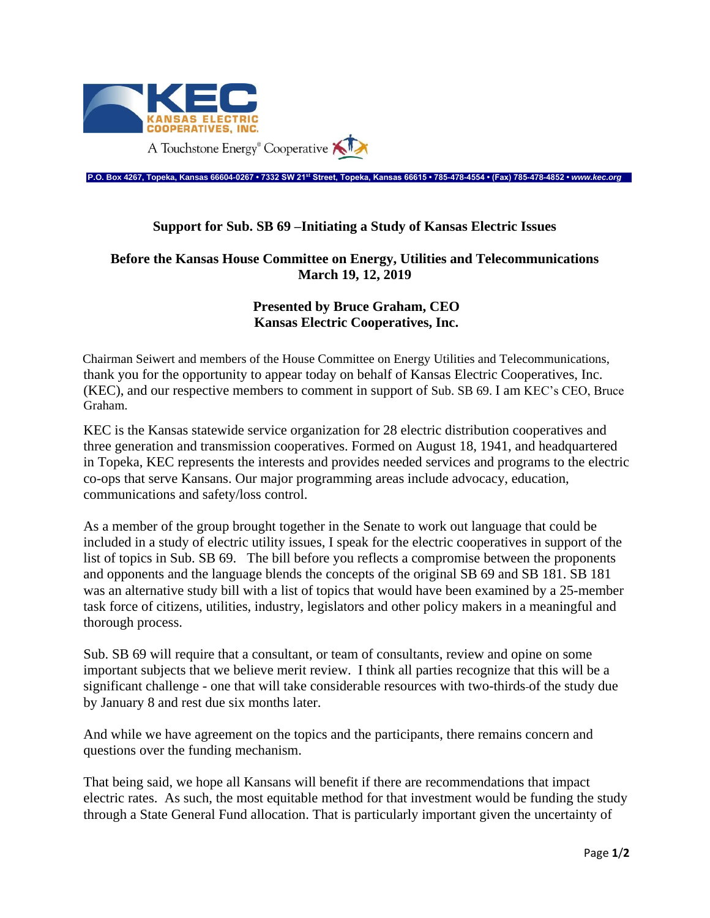

**P.O. Box 4267, Topeka, Kansas 66604-0267 • 7332 SW 21st Street, Topeka, Kansas 66615 • 785-478-4554 • (Fax) 785-478-4852 •** *www.kec.org*

## **Support for Sub. SB 69 –Initiating a Study of Kansas Electric Issues**

## **Before the Kansas House Committee on Energy, Utilities and Telecommunications March 19, 12, 2019**

## **Presented by Bruce Graham, CEO Kansas Electric Cooperatives, Inc.**

Chairman Seiwert and members of the House Committee on Energy Utilities and Telecommunications, thank you for the opportunity to appear today on behalf of Kansas Electric Cooperatives, Inc. (KEC), and our respective members to comment in support of Sub. SB 69. I am KEC's CEO, Bruce Graham.

KEC is the Kansas statewide service organization for 28 electric distribution cooperatives and three generation and transmission cooperatives. Formed on August 18, 1941, and headquartered in Topeka, KEC represents the interests and provides needed services and programs to the electric co-ops that serve Kansans. Our major programming areas include advocacy, education, communications and safety/loss control.

As a member of the group brought together in the Senate to work out language that could be included in a study of electric utility issues, I speak for the electric cooperatives in support of the list of topics in Sub. SB 69. The bill before you reflects a compromise between the proponents and opponents and the language blends the concepts of the original SB 69 and SB 181. SB 181 was an alternative study bill with a list of topics that would have been examined by a 25-member task force of citizens, utilities, industry, legislators and other policy makers in a meaningful and thorough process.

Sub. SB 69 will require that a consultant, or team of consultants, review and opine on some important subjects that we believe merit review. I think all parties recognize that this will be a significant challenge - one that will take considerable resources with two-thirds of the study due by January 8 and rest due six months later.

And while we have agreement on the topics and the participants, there remains concern and questions over the funding mechanism.

That being said, we hope all Kansans will benefit if there are recommendations that impact electric rates. As such, the most equitable method for that investment would be funding the study through a State General Fund allocation. That is particularly important given the uncertainty of